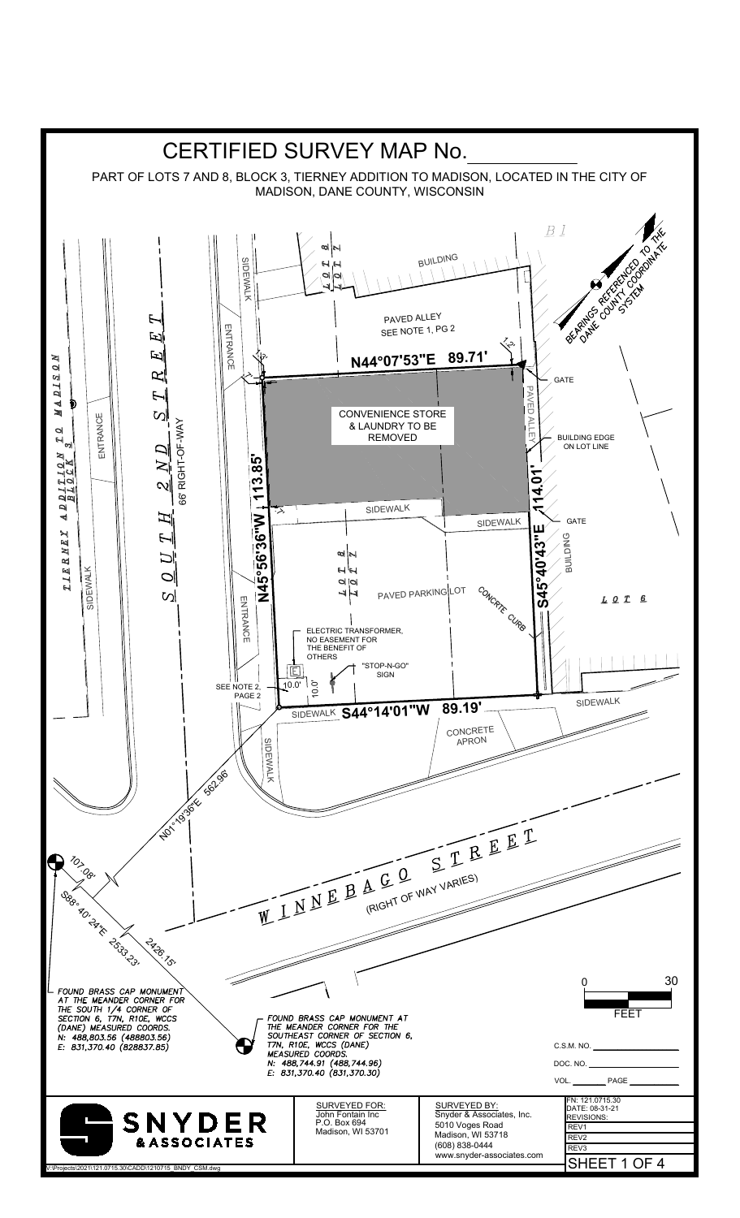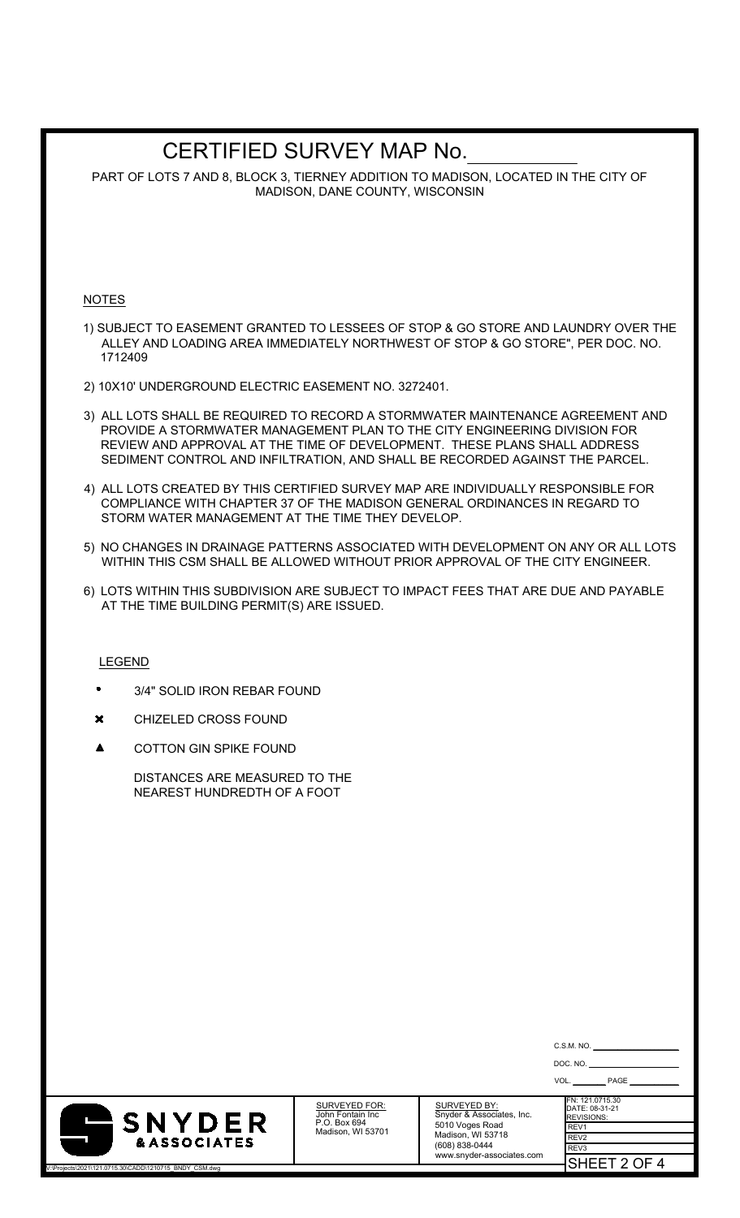# CERTIFIED SURVEY MAP No.

PART OF LOTS 7 AND 8, BLOCK 3, TIERNEY ADDITION TO MADISON, LOCATED IN THE CITY OF MADISON, DANE COUNTY, WISCONSIN

### NOTES

- 1) SUBJECT TO EASEMENT GRANTED TO LESSEES OF STOP & GO STORE AND LAUNDRY OVER THE ALLEY AND LOADING AREA IMMEDIATELY NORTHWEST OF STOP & GO STORE", PER DOC. NO. 1712409
- 2) 10X10' UNDERGROUND ELECTRIC EASEMENT NO. 3272401.
- 3) ALL LOTS SHALL BE REQUIRED TO RECORD A STORMWATER MAINTENANCE AGREEMENT AND PROVIDE A STORMWATER MANAGEMENT PLAN TO THE CITY ENGINEERING DIVISION FOR REVIEW AND APPROVAL AT THE TIME OF DEVELOPMENT. THESE PLANS SHALL ADDRESS SEDIMENT CONTROL AND INFILTRATION, AND SHALL BE RECORDED AGAINST THE PARCEL.
- 4) ALL LOTS CREATED BY THIS CERTIFIED SURVEY MAP ARE INDIVIDUALLY RESPONSIBLE FOR COMPLIANCE WITH CHAPTER 37 OF THE MADISON GENERAL ORDINANCES IN REGARD TO STORM WATER MANAGEMENT AT THE TIME THEY DEVELOP.
- 5) NO CHANGES IN DRAINAGE PATTERNS ASSOCIATED WITH DEVELOPMENT ON ANY OR ALL LOTS WITHIN THIS CSM SHALL BE ALLOWED WITHOUT PRIOR APPROVAL OF THE CITY ENGINEER.
- 6) LOTS WITHIN THIS SUBDIVISION ARE SUBJECT TO IMPACT FEES THAT ARE DUE AND PAYABLE AT THE TIME BUILDING PERMIT(S) ARE ISSUED.

### LEGEND

- 3/4" SOLID IRON REBAR FOUND  $\bullet$
- $\mathbf x$ CHIZELED CROSS FOUND
- $\blacktriangle$ COTTON GIN SPIKE FOUND

DISTANCES ARE MEASURED TO THE NEAREST HUNDREDTH OF A FOOT



V:\Projects\2021\121.0715.30\CADD\1210715\_BNDY\_CSM.dwg

SURVEYED FOR: John Fontain Inc P.O. Box 694 Madison, WI 53701

SURVEYED BY: Snyder & Associates, Inc. 5010 Voges Road Madison, WI 53718 (608) 838-0444 www.snyder-associates.com

| DOC. NO. |                                                                                    |  |  |  |
|----------|------------------------------------------------------------------------------------|--|--|--|
|          | PAGE<br>VOL.                                                                       |  |  |  |
|          | FN: 121.0715.30<br>DATE: 08-31-21<br><b>REVISIONS:</b><br>REV1<br>REV <sub>2</sub> |  |  |  |
|          | REV <sub>3</sub>                                                                   |  |  |  |
|          | SHEET 2 OF 4                                                                       |  |  |  |

 $C.S.M. NO$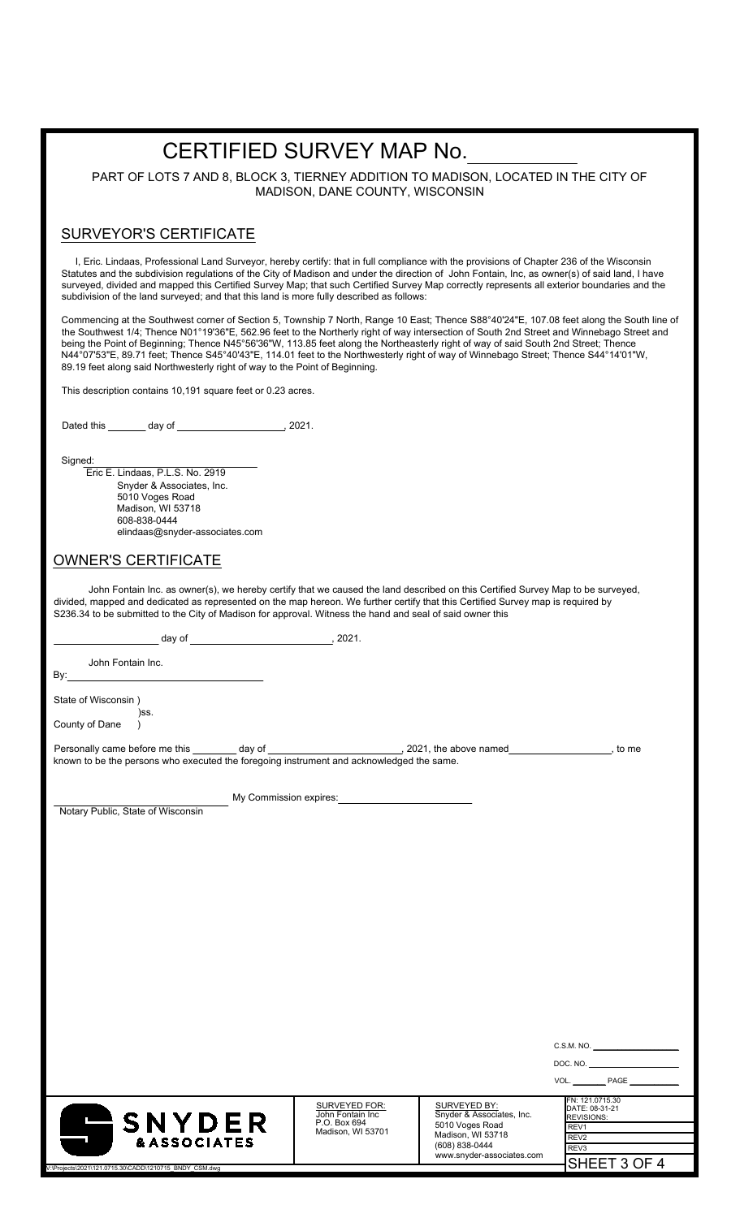# CERTIFIED SURVEY MAP No.

PART OF LOTS 7 AND 8, BLOCK 3, TIERNEY ADDITION TO MADISON, LOCATED IN THE CITY OF MADISON, DANE COUNTY, WISCONSIN

## SURVEYOR'S CERTIFICATE

 I, Eric. Lindaas, Professional Land Surveyor, hereby certify: that in full compliance with the provisions of Chapter 236 of the Wisconsin Statutes and the subdivision regulations of the City of Madison and under the direction of John Fontain, Inc, as owner(s) of said land, I have surveyed, divided and mapped this Certified Survey Map; that such Certified Survey Map correctly represents all exterior boundaries and the subdivision of the land surveyed; and that this land is more fully described as follows:

Commencing at the Southwest corner of Section 5, Township 7 North, Range 10 East; Thence S88°40'24"E, 107.08 feet along the South line of the Southwest 1/4; Thence N01°19'36"E, 562.96 feet to the Northerly right of way intersection of South 2nd Street and Winnebago Street and being the Point of Beginning; Thence N45°56'36"W, 113.85 feet along the Northeasterly right of way of said South 2nd Street; Thence N44°07'53"E, 89.71 feet; Thence S45°40'43"E, 114.01 feet to the Northwesterly right of way of Winnebago Street; Thence S44°14'01"W, 89.19 feet along said Northwesterly right of way to the Point of Beginning.

This description contains 10,191 square feet or 0.23 acres.

Dated this  $\frac{1}{2}$  day of  $\frac{1}{2}$  2021.

Signed:

 Eric E. Lindaas, P.L.S. No. 2919 Snyder & Associates, Inc. 5010 Voges Road Madison, WI 53718 608-838-0444 elindaas@snyder-associates.com

## OWNER'S CERTIFICATE

John Fontain Inc. as owner(s), we hereby certify that we caused the land described on this Certified Survey Map to be surveyed, divided, mapped and dedicated as represented on the map hereon. We further certify that this Certified Survey map is required by S236.34 to be submitted to the City of Madison for approval. Witness the hand and seal of said owner this

day of , 2021.

John Fontain Inc. By:

State of Wisconsin ) )ss. County of Dane )

Personally came before me this day of day of the control of the above named the streamed here is a control of the control of the streamed , to me known to be the persons who executed the foregoing instrument and acknowledged the same.

My Commission expires:

Notary Public, State of Wisconsin



SURVEYED FOR: John Fontain Inc P.O. Box 694 Madison, WI 53701

SURVEYED BY: Snyder & Associates, Inc. 5010 Voges Road Madison, WI 53718 (608) 838-0444 www.snyder-associates.com

| DOC. NO.          |                 |  |
|-------------------|-----------------|--|
| VOL.              | PAGE            |  |
|                   | FN: 121.0715.30 |  |
| <b>REVISIONS:</b> | DATE: 08-31-21  |  |

SHEET 3 OF 4

REV1

C.S.M. NO.

રEV: REV3

V:\Projects\2021\121.0715.30\CADD\1210715\_BNDY\_CSM.dwg